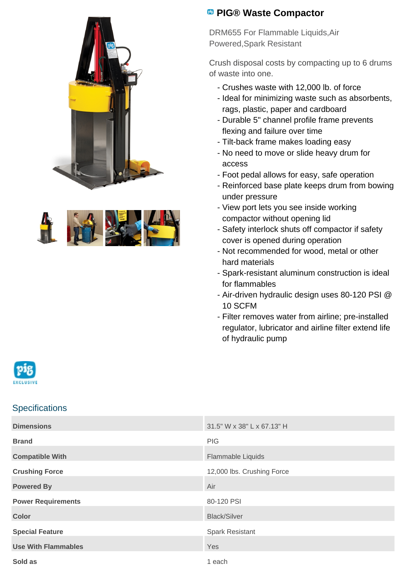



## **PIG® Waste Compactor**

DRM655 For Flammable Liquids,Air Powered,Spark Resistant

Crush disposal costs by compacting up to 6 drums of waste into one.

- Crushes waste with 12,000 lb. of force
- Ideal for minimizing waste such as absorbents, rags, plastic, paper and cardboard
- Durable 5" channel profile frame prevents flexing and failure over time
- Tilt-back frame makes loading easy
- No need to move or slide heavy drum for access
- Foot pedal allows for easy, safe operation
- Reinforced base plate keeps drum from bowing under pressure
- View port lets you see inside working compactor without opening lid
- Safety interlock shuts off compactor if safety cover is opened during operation
- Not recommended for wood, metal or other hard materials
- Spark-resistant aluminum construction is ideal for flammables
- Air-driven hydraulic design uses 80-120 PSI @ 10 SCFM
- Filter removes water from airline; pre-installed regulator, lubricator and airline filter extend life of hydraulic pump



## **Specifications**

| <b>Dimensions</b>          | 31.5" W x 38" L x 67.13" H |
|----------------------------|----------------------------|
| <b>Brand</b>               | <b>PIG</b>                 |
| <b>Compatible With</b>     | Flammable Liquids          |
| <b>Crushing Force</b>      | 12,000 lbs. Crushing Force |
| <b>Powered By</b>          | Air                        |
| <b>Power Requirements</b>  | 80-120 PSI                 |
| <b>Color</b>               | <b>Black/Silver</b>        |
| <b>Special Feature</b>     | <b>Spark Resistant</b>     |
| <b>Use With Flammables</b> | Yes                        |
| Sold as                    | 1 each                     |